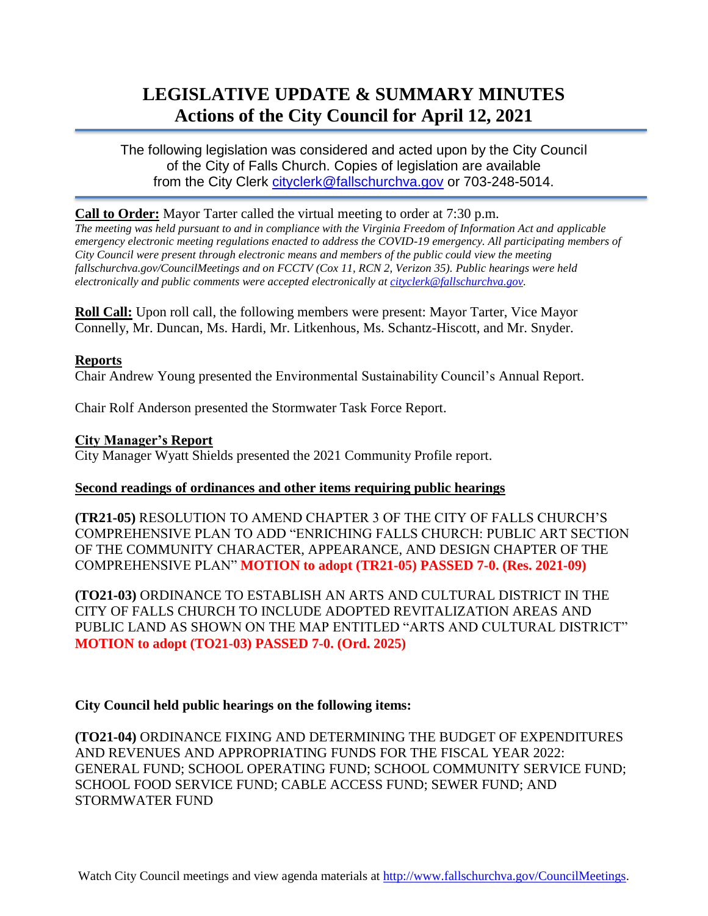# **LEGISLATIVE UPDATE & SUMMARY MINUTES Actions of the City Council for April 12, 2021**

The following legislation was considered and acted upon by the City Council of the City of Falls Church. Copies of legislation are available from the City Clerk [cityclerk@fallschurchva.gov](mailto:cityclerk@fallschurchva.gov) or 703-248-5014.

## **Call to Order:** Mayor Tarter called the virtual meeting to order at 7:30 p.m.

*The meeting was held pursuant to and in compliance with the Virginia Freedom of Information Act and applicable emergency electronic meeting regulations enacted to address the COVID-19 emergency. All participating members of City Council were present through electronic means and members of the public could view the meeting fallschurchva.gov/CouncilMeetings and on FCCTV (Cox 11, RCN 2, Verizon 35). Public hearings were held electronically and public comments were accepted electronically a[t cityclerk@fallschurchva.gov.](mailto:cityclerk@fallschurchva.gov)*

**Roll Call:** Upon roll call, the following members were present: Mayor Tarter, Vice Mayor Connelly, Mr. Duncan, Ms. Hardi, Mr. Litkenhous, Ms. Schantz-Hiscott, and Mr. Snyder.

#### **Reports**

Chair Andrew Young presented the Environmental Sustainability Council's Annual Report.

Chair Rolf Anderson presented the Stormwater Task Force Report.

## **City Manager's Report**

City Manager Wyatt Shields presented the 2021 Community Profile report.

#### **Second readings of ordinances and other items requiring public hearings**

**(TR21-05)** RESOLUTION TO AMEND CHAPTER 3 OF THE CITY OF FALLS CHURCH'S COMPREHENSIVE PLAN TO ADD "ENRICHING FALLS CHURCH: PUBLIC ART SECTION OF THE COMMUNITY CHARACTER, APPEARANCE, AND DESIGN CHAPTER OF THE COMPREHENSIVE PLAN" **MOTION to adopt (TR21-05) PASSED 7-0. (Res. 2021-09)**

**(TO21-03)** ORDINANCE TO ESTABLISH AN ARTS AND CULTURAL DISTRICT IN THE CITY OF FALLS CHURCH TO INCLUDE ADOPTED REVITALIZATION AREAS AND PUBLIC LAND AS SHOWN ON THE MAP ENTITLED "ARTS AND CULTURAL DISTRICT" **MOTION to adopt (TO21-03) PASSED 7-0. (Ord. 2025)**

# **City Council held public hearings on the following items:**

**(TO21-04)** ORDINANCE FIXING AND DETERMINING THE BUDGET OF EXPENDITURES AND REVENUES AND APPROPRIATING FUNDS FOR THE FISCAL YEAR 2022: GENERAL FUND; SCHOOL OPERATING FUND; SCHOOL COMMUNITY SERVICE FUND; SCHOOL FOOD SERVICE FUND; CABLE ACCESS FUND; SEWER FUND; AND STORMWATER FUND